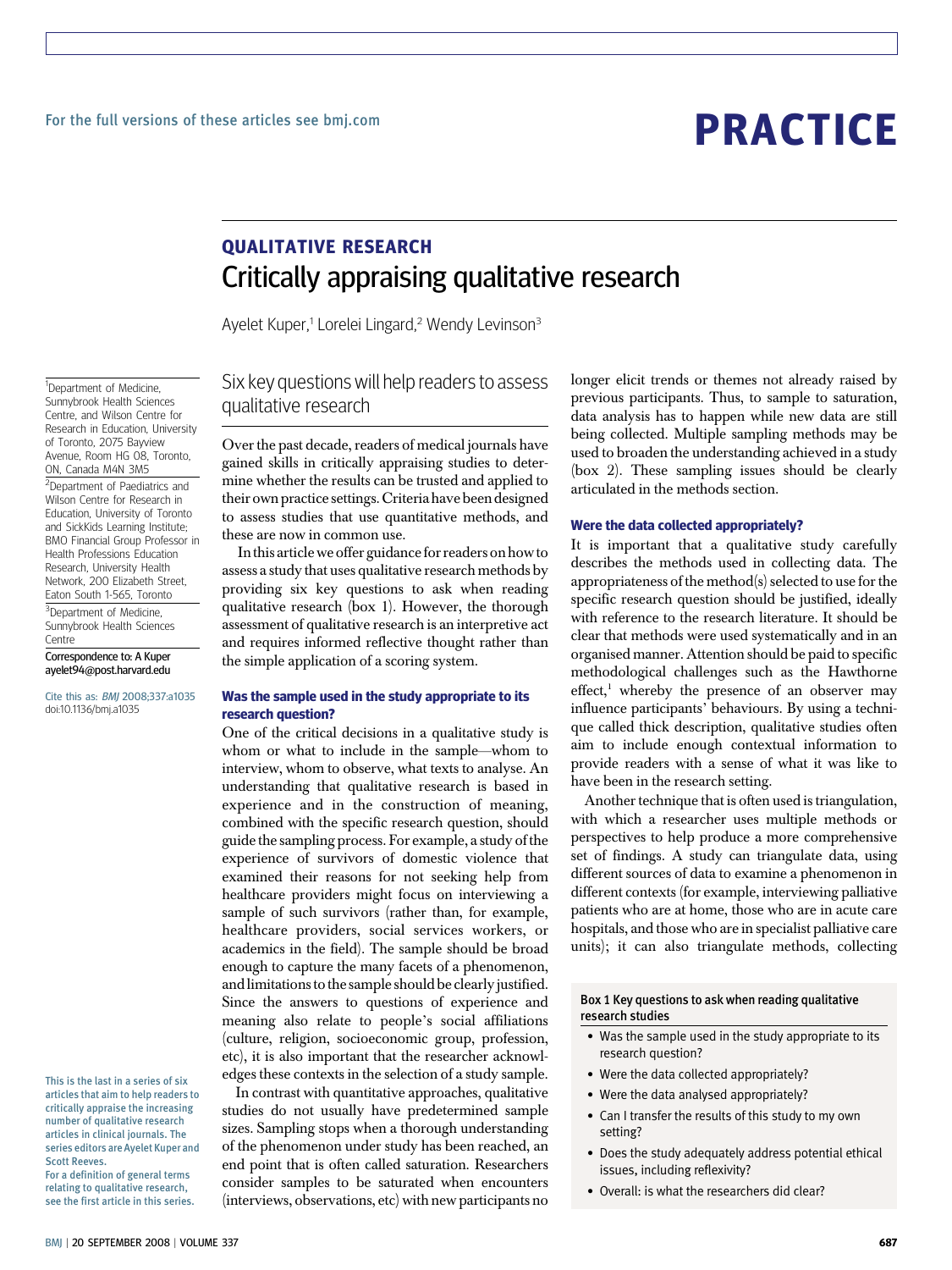# PRACTICE

### QUALITATIVE RESEARCH Critically appraising qualitative research

Ayelet Kuper,<sup>1</sup> Lorelei Lingard,<sup>2</sup> Wendy Levinson<sup>3</sup>

<sup>1</sup>Department of Medicine, Sunnybrook Health Sciences Centre, and Wilson Centre for Research in Education, University of Toronto, 2075 Bayview Avenue, Room HG 08, Toronto, ON, Canada M4N 3M5 <sup>2</sup>Department of Paediatrics and Wilson Centre for Research in Education, University of Toronto and SickKids Learning Institute; BMO Financial Group Professor in Health Professions Education Research, University Health Network, 200 Elizabeth Street,

Eaton South 1-565, Toronto <sup>3</sup>Department of Medicine, Sunnybrook Health Sciences Centre

Correspondence to: A Kuper ayelet94@post.harvard.edu

Cite this as: BMJ 2008;337:a1035 doi:10.1136/bmj.a1035

This is the last in a series of six articles that aim to help readers to critically appraise the increasing number of qualitative research articles in clinical journals. The series editors are Ayelet Kuper and Scott Reeves. For a definition of general terms relating to qualitative research,

see the first article in this series.

Six key questions will help readers to assess qualitative research

Over the past decade, readers of medical journals have gained skills in critically appraising studies to determine whether the results can be trusted and applied to their own practice settings. Criteria have been designed to assess studies that use quantitative methods, and these are now in common use.

In this article we offer guidance for readers on how to assess a study that uses qualitative research methods by providing six key questions to ask when reading qualitative research (box 1). However, the thorough assessment of qualitative research is an interpretive act and requires informed reflective thought rather than the simple application of a scoring system.

#### Was the sample used in the study appropriate to its research question?

One of the critical decisions in a qualitative study is whom or what to include in the sample—whom to interview, whom to observe, what texts to analyse. An understanding that qualitative research is based in experience and in the construction of meaning, combined with the specific research question, should guide the sampling process. For example, a study of the experience of survivors of domestic violence that examined their reasons for not seeking help from healthcare providers might focus on interviewing a sample of such survivors (rather than, for example, healthcare providers, social services workers, or academics in the field). The sample should be broad enough to capture the many facets of a phenomenon, and limitations to the sample should be clearly justified. Since the answers to questions of experience and meaning also relate to people's social affiliations (culture, religion, socioeconomic group, profession, etc), it is also important that the researcher acknowl-

edges these contexts in the selection of a study sample. In contrast with quantitative approaches, qualitative studies do not usually have predetermined sample sizes. Sampling stops when a thorough understanding of the phenomenon under study has been reached, an end point that is often called saturation. Researchers consider samples to be saturated when encounters (interviews, observations, etc) with new participants no longer elicit trends or themes not already raised by previous participants. Thus, to sample to saturation, data analysis has to happen while new data are still being collected. Multiple sampling methods may be used to broaden the understanding achieved in a study (box 2). These sampling issues should be clearly articulated in the methods section.

#### Were the data collected appropriately?

It is important that a qualitative study carefully describes the methods used in collecting data. The appropriateness of the method(s) selected to use for the specific research question should be justified, ideally with reference to the research literature. It should be clear that methods were used systematically and in an organised manner. Attention should be paid to specific methodological challenges such as the Hawthorne effect,<sup>1</sup> whereby the presence of an observer may influence participants' behaviours. By using a technique called thick description, qualitative studies often aim to include enough contextual information to provide readers with a sense of what it was like to have been in the research setting.

Another technique that is often used is triangulation, with which a researcher uses multiple methods or perspectives to help produce a more comprehensive set of findings. A study can triangulate data, using different sources of data to examine a phenomenon in different contexts (for example, interviewing palliative patients who are at home, those who are in acute care hospitals, and those who are in specialist palliative care units); it can also triangulate methods, collecting

#### Box 1 Key questions to ask when reading qualitative research studies

- Was the sample used in the study appropriate to its research question?
- Were the data collected appropriately?
- Were the data analysed appropriately?
- Can I transfer the results of this study to my own setting?
- Does the study adequately address potential ethical issues, including reflexivity?
- Overall: is what the researchers did clear?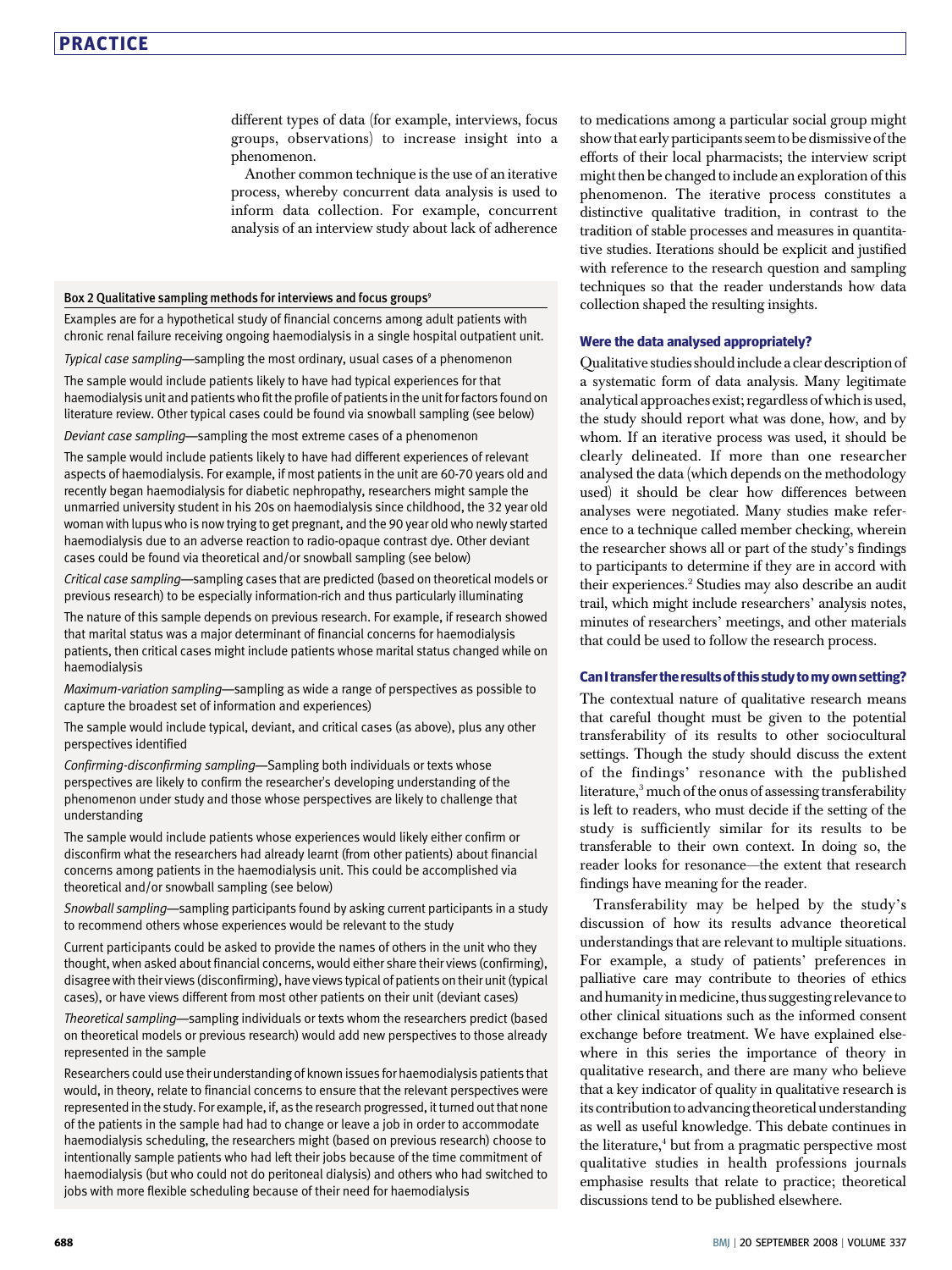different types of data (for example, interviews, focus groups, observations) to increase insight into a phenomenon.

Another common technique is the use of an iterative process, whereby concurrent data analysis is used to inform data collection. For example, concurrent analysis of an interview study about lack of adherence

#### Box 2 Qualitative sampling methods for interviews and focus groups<sup>9</sup>

Examples are for a hypothetical study of financial concerns among adult patients with chronic renal failure receiving ongoing haemodialysis in a single hospital outpatient unit.

Typical case sampling—sampling the most ordinary, usual cases of a phenomenon

The sample would include patients likely to have had typical experiences for that haemodialysis unit and patients who fit the profile of patients in the unit for factors found on literature review. Other typical cases could be found via snowball sampling (see below)

Deviant case sampling—sampling the most extreme cases of a phenomenon

The sample would include patients likely to have had different experiences of relevant aspects of haemodialysis. For example, if most patients in the unit are 60-70 years old and recently began haemodialysis for diabetic nephropathy, researchers might sample the unmarried university student in his 20s on haemodialysis since childhood, the 32 year old woman with lupus who is now trying to get pregnant, and the 90 year old who newly started haemodialysis due to an adverse reaction to radio-opaque contrast dye. Other deviant cases could be found via theoretical and/or snowball sampling (see below)

Critical case sampling—sampling cases that are predicted (based on theoretical models or previous research) to be especially information-rich and thus particularly illuminating

The nature of this sample depends on previous research. For example, if research showed that marital status was a major determinant of financial concerns for haemodialysis patients, then critical cases might include patients whose marital status changed while on haemodialysis

Maximum-variation sampling—sampling as wide a range of perspectives as possible to capture the broadest set of information and experiences)

The sample would include typical, deviant, and critical cases (as above), plus any other perspectives identified

Confirming-disconfirming sampling—Sampling both individuals or texts whose perspectives are likely to confirm the researcher's developing understanding of the phenomenon under study and those whose perspectives are likely to challenge that understanding

The sample would include patients whose experiences would likely either confirm or disconfirm what the researchers had already learnt (from other patients) about financial concerns among patients in the haemodialysis unit. This could be accomplished via theoretical and/or snowball sampling (see below)

Snowball sampling—sampling participants found by asking current participants in a study to recommend others whose experiences would be relevant to the study

Current participants could be asked to provide the names of others in the unit who they thought, when asked about financial concerns, would either share their views (confirming), disagree with their views (disconfirming), have views typical of patients on their unit (typical cases), or have views different from most other patients on their unit (deviant cases)

Theoretical sampling—sampling individuals or texts whom the researchers predict (based on theoretical models or previous research) would add new perspectives to those already represented in the sample

Researchers could use their understanding of known issues for haemodialysis patients that would, in theory, relate to financial concerns to ensure that the relevant perspectives were represented in the study. For example, if, as the research progressed, it turned out that none of the patients in the sample had had to change or leave a job in order to accommodate haemodialysis scheduling, the researchers might (based on previous research) choose to intentionally sample patients who had left their jobs because of the time commitment of haemodialysis (but who could not do peritoneal dialysis) and others who had switched to jobs with more flexible scheduling because of their need for haemodialysis

to medications among a particular social group might showthat early participants seemto be dismissive ofthe efforts of their local pharmacists; the interview script might then be changed to include an exploration of this phenomenon. The iterative process constitutes a distinctive qualitative tradition, in contrast to the tradition of stable processes and measures in quantitative studies. Iterations should be explicit and justified with reference to the research question and sampling techniques so that the reader understands how data collection shaped the resulting insights.

#### Were the data analysed appropriately?

Qualitative studies shouldinclude a clear description of a systematic form of data analysis. Many legitimate analytical approaches exist; regardless of which is used, the study should report what was done, how, and by whom. If an iterative process was used, it should be clearly delineated. If more than one researcher analysed the data (which depends on the methodology used) it should be clear how differences between analyses were negotiated. Many studies make reference to a technique called member checking, wherein the researcher shows all or part of the study's findings to participants to determine if they are in accord with their experiences.<sup>2</sup> Studies may also describe an audit trail, which might include researchers' analysis notes, minutes of researchers' meetings, and other materials that could be used to follow the research process.

#### CanI transfer the results of this study to my own setting?

The contextual nature of qualitative research means that careful thought must be given to the potential transferability of its results to other sociocultural settings. Though the study should discuss the extent of the findings' resonance with the published literature,<sup>3</sup> much of the onus of assessing transferability is left to readers, who must decide if the setting of the study is sufficiently similar for its results to be transferable to their own context. In doing so, the reader looks for resonance—the extent that research findings have meaning for the reader.

Transferability may be helped by the study's discussion of how its results advance theoretical understandings that are relevant to multiple situations. For example, a study of patients' preferences in palliative care may contribute to theories of ethics and humanity in medicine, thus suggesting relevance to other clinical situations such as the informed consent exchange before treatment. We have explained elsewhere in this series the importance of theory in qualitative research, and there are many who believe that a key indicator of quality in qualitative research is its contribution to advancing theoretical understanding as well as useful knowledge. This debate continues in the literature,<sup>4</sup> but from a pragmatic perspective most qualitative studies in health professions journals emphasise results that relate to practice; theoretical discussions tend to be published elsewhere.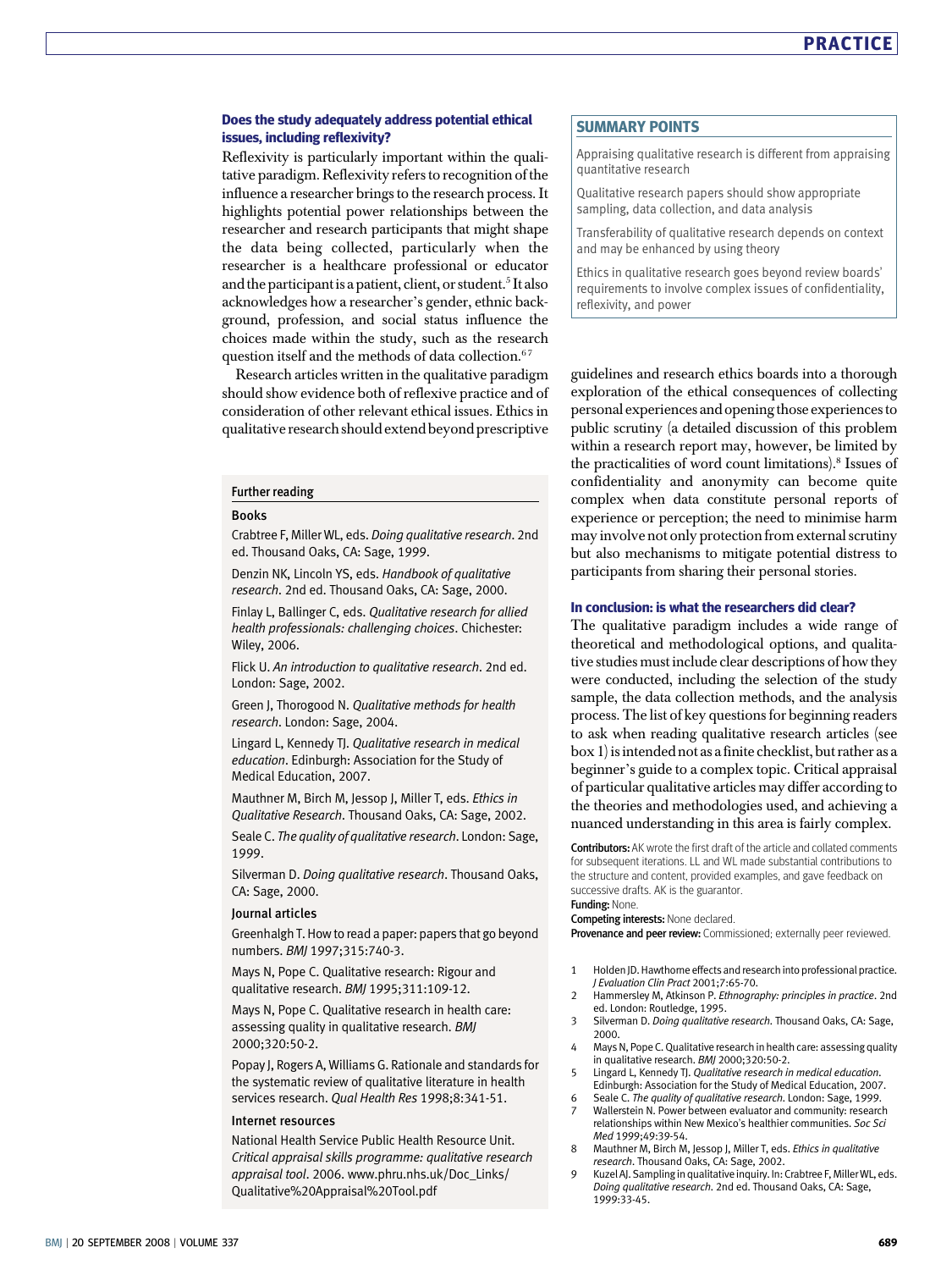#### Does the study adequately address potential ethical issues, including reflexivity?

Reflexivity is particularly important within the qualitative paradigm. Reflexivity refers to recognition of the influence a researcher brings to the research process. It highlights potential power relationships between the researcher and research participants that might shape the data being collected, particularly when the researcher is a healthcare professional or educator and the participant is a patient, client, or student.<sup>5</sup> It also acknowledges how a researcher's gender, ethnic background, profession, and social status influence the choices made within the study, such as the research question itself and the methods of data collection.<sup>67</sup>

Research articles written in the qualitative paradigm should show evidence both of reflexive practice and of consideration of other relevant ethical issues. Ethics in qualitative research should extend beyond prescriptive

#### Further reading

#### Books

Crabtree F, Miller WL, eds. Doing qualitative research. 2nd ed. Thousand Oaks, CA: Sage, 1999.

Denzin NK, Lincoln YS, eds. Handbook of qualitative research. 2nd ed. Thousand Oaks, CA: Sage, 2000.

Finlay L, Ballinger C, eds. Qualitative research for allied health professionals: challenging choices. Chichester: Wiley, 2006.

Flick U. An introduction to qualitative research. 2nd ed. London: Sage, 2002.

Green J, Thorogood N. Qualitative methods for health research. London: Sage, 2004.

Lingard L, Kennedy TJ. Qualitative research in medical education. Edinburgh: Association for the Study of Medical Education, 2007.

Mauthner M, Birch M, Jessop J, Miller T, eds. Ethics in Qualitative Research. Thousand Oaks, CA: Sage, 2002.

Seale C. The quality of qualitative research. London: Sage, 1999.

Silverman D. Doing qualitative research. Thousand Oaks, CA: Sage, 2000.

#### Journal articles

Greenhalgh T. How to read a paper: papers that go beyond numbers. BMJ 1997;315:740-3.

Mays N, Pope C. Qualitative research: Rigour and qualitative research. BMJ 1995;311:109-12.

Mays N, Pope C. Qualitative research in health care: assessing quality in qualitative research. BMJ 2000;320:50-2.

Popay J, Rogers A, Williams G. Rationale and standards for the systematic review of qualitative literature in health services research. Qual Health Res 1998;8:341-51.

#### Internet resources

National Health Service Public Health Resource Unit. Critical appraisal skills programme: qualitative research appraisal tool. 2006. www.phru.nhs.uk/Doc\_Links/ Qualitative%20Appraisal%20Tool.pdf

#### SUMMARY POINTS

Appraising qualitative research is different from appraising quantitative research

Qualitative research papers should show appropriate sampling, data collection, and data analysis

Transferability of qualitative research depends on context and may be enhanced by using theory

Ethics in qualitative research goes beyond review boards' requirements to involve complex issues of confidentiality, reflexivity, and power

guidelines and research ethics boards into a thorough exploration of the ethical consequences of collecting personal experiences and openingthose experiencesto public scrutiny (a detailed discussion of this problem within a research report may, however, be limited by the practicalities of word count limitations).<sup>8</sup> Issues of confidentiality and anonymity can become quite complex when data constitute personal reports of experience or perception; the need to minimise harm may involve not only protection from external scrutiny but also mechanisms to mitigate potential distress to participants from sharing their personal stories.

#### In conclusion: is what the researchers did clear?

The qualitative paradigm includes a wide range of theoretical and methodological options, and qualitative studies must include clear descriptions of how they were conducted, including the selection of the study sample, the data collection methods, and the analysis process. The list of key questions for beginning readers to ask when reading qualitative research articles (see box 1) is intended not as afinite checklist, but rather as a beginner's guide to a complex topic. Critical appraisal of particular qualitative articles may differ according to the theories and methodologies used, and achieving a nuanced understanding in this area is fairly complex.

Contributors: AK wrote the first draft of the article and collated comments for subsequent iterations. LL and WL made substantial contributions to the structure and content, provided examples, and gave feedback on successive drafts. AK is the guarantor.

Funding: None.

Competing interests: None declared.

Provenance and peer review: Commissioned; externally peer reviewed.

- 1 Holden ID. Hawthorne effects and research into professional practice. J Evaluation Clin Pract 2001;7:65-70.
- 2 Hammersley M, Atkinson P. Ethnography: principles in practice. 2nd ed. London: Routledge, 1995.
- 3 Silverman D. Doing qualitative research. Thousand Oaks, CA: Sage, 2000.
- 4 Mays N, Pope C. Qualitative research in health care: assessing quality in qualitative research. BMI 2000;320:50-2.
- 5 Lingard L, Kennedy TJ. Qualitative research in medical education. Edinburgh: Association for the Study of Medical Education, 2007.
- 6 Seale C. The quality of qualitative research. London: Sage, 1999. Wallerstein N. Power between evaluator and community: research relationships within New Mexico's healthier communities. Soc Sci Med 1999;49:39-54.
- 8 Mauthner M, Birch M, Jessop J, Miller T, eds. Ethics in qualitative research. Thousand Oaks, CA: Sage, 2002.
- 9 Kuzel AJ. Samplingin qualitativeinquiry.In: Crabtree F,MillerWL, eds. Doing qualitative research. 2nd ed. Thousand Oaks, CA: Sage, 1999:33-45.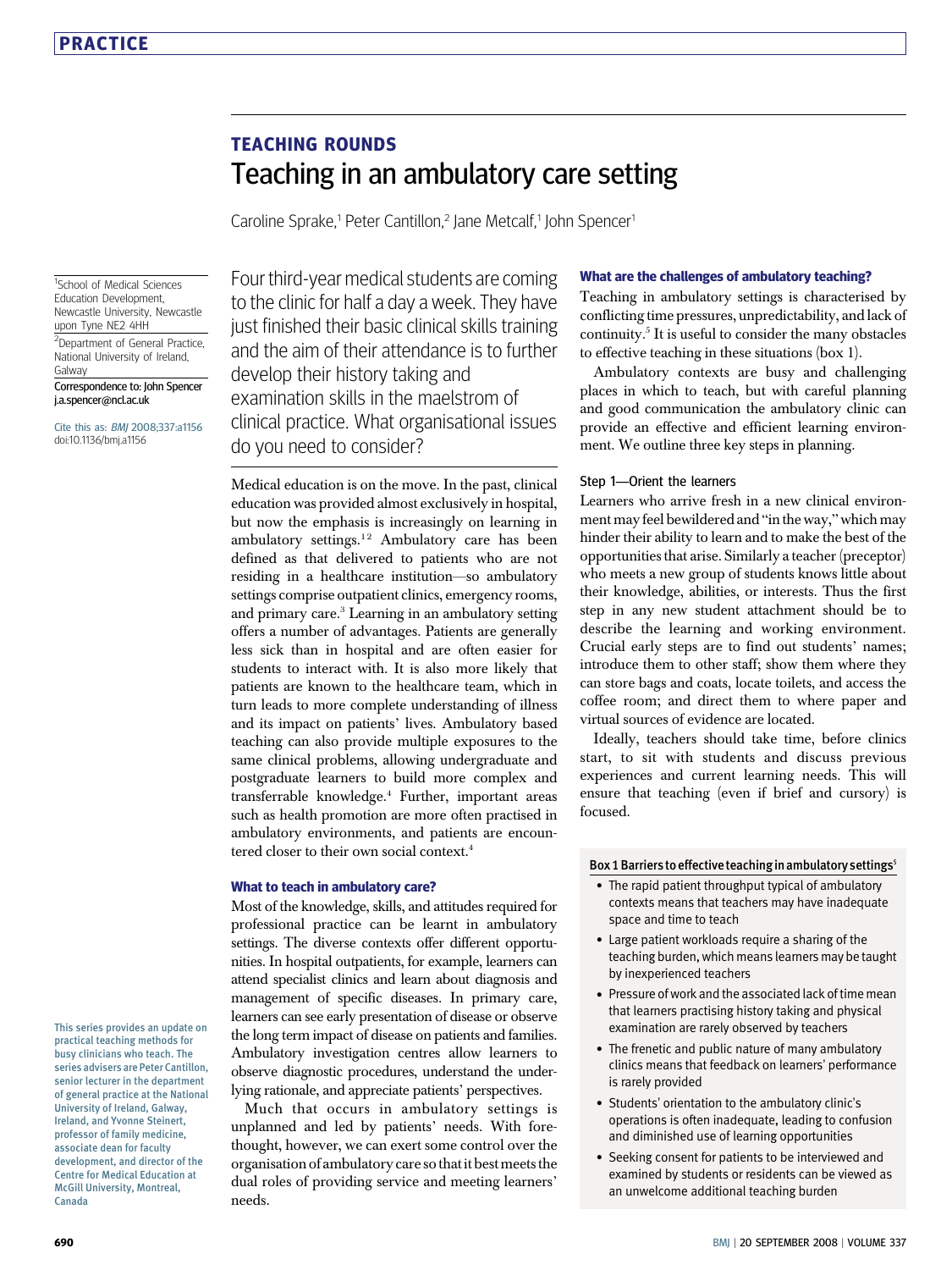### TEACHING ROUNDS Teaching in an ambulatory care setting

Caroline Sprake,<sup>1</sup> Peter Cantillon,<sup>2</sup> Jane Metcalf,<sup>1</sup> John Spencer<sup>1</sup>

<sup>1</sup>School of Medical Sciences Education Development, Newcastle University, Newcastle upon Tyne NE2 4HH <sup>2</sup>Department of General Practice, National University of Ireland, Galway

Correspondence to: John Spencer j.a.spencer@ncl.ac.uk

Cite this as: BMJ 2008;337:a1156 doi:10.1136/bmj.a1156

Four third-year medical students are coming to the clinic for half a day a week. They have just finished their basic clinical skills training and the aim of their attendance is to further develop their history taking and examination skills in the maelstrom of clinical practice. What organisational issues do you need to consider?

Medical education is on the move. In the past, clinical education was provided almost exclusively in hospital, but now the emphasis is increasingly on learning in ambulatory settings.<sup>12</sup> Ambulatory care has been defined as that delivered to patients who are not residing in a healthcare institution—so ambulatory settings comprise outpatient clinics, emergency rooms, and primary care.<sup>3</sup> Learning in an ambulatory setting offers a number of advantages. Patients are generally less sick than in hospital and are often easier for students to interact with. It is also more likely that patients are known to the healthcare team, which in turn leads to more complete understanding of illness and its impact on patients' lives. Ambulatory based teaching can also provide multiple exposures to the same clinical problems, allowing undergraduate and postgraduate learners to build more complex and transferrable knowledge.4 Further, important areas such as health promotion are more often practised in ambulatory environments, and patients are encountered closer to their own social context.<sup>4</sup>

#### What to teach in ambulatory care?

Most of the knowledge, skills, and attitudes required for professional practice can be learnt in ambulatory settings. The diverse contexts offer different opportunities. In hospital outpatients, for example, learners can attend specialist clinics and learn about diagnosis and management of specific diseases. In primary care, learners can see early presentation of disease or observe the long term impact of disease on patients and families. Ambulatory investigation centres allow learners to observe diagnostic procedures, understand the underlying rationale, and appreciate patients' perspectives.

Much that occurs in ambulatory settings is unplanned and led by patients' needs. With forethought, however, we can exert some control over the organisation of ambulatory care sothat it best meets the dual roles of providing service and meeting learners' needs.

#### What are the challenges of ambulatory teaching?

Teaching in ambulatory settings is characterised by conflicting time pressures, unpredictability, and lack of continuity.5 It is useful to consider the many obstacles to effective teaching in these situations (box 1).

Ambulatory contexts are busy and challenging places in which to teach, but with careful planning and good communication the ambulatory clinic can provide an effective and efficient learning environment. We outline three key steps in planning.

#### Step 1—Orient the learners

Learners who arrive fresh in a new clinical environment may feel bewildered and "in the way," which may hinder their ability to learn and to make the best of the opportunities that arise. Similarly a teacher (preceptor) who meets a new group of students knows little about their knowledge, abilities, or interests. Thus the first step in any new student attachment should be to describe the learning and working environment. Crucial early steps are to find out students' names; introduce them to other staff; show them where they can store bags and coats, locate toilets, and access the coffee room; and direct them to where paper and virtual sources of evidence are located.

Ideally, teachers should take time, before clinics start, to sit with students and discuss previous experiences and current learning needs. This will ensure that teaching (even if brief and cursory) is focused.

#### Box 1 Barriers to effective teaching in ambulatory settings<sup>5</sup>

- The rapid patient throughput typical of ambulatory contexts means that teachers may have inadequate space and time to teach
- Large patient workloads require a sharing of the teaching burden, which means learners may be taught by inexperienced teachers
- Pressure of work and the associated lack of time mean that learners practising history taking and physical examination are rarely observed by teachers
- The frenetic and public nature of many ambulatory clinics means that feedback on learners' performance is rarely provided
- Students' orientation to the ambulatory clinic's operations is often inadequate, leading to confusion and diminished use of learning opportunities
- Seeking consent for patients to be interviewed and examined by students or residents can be viewed as an unwelcome additional teaching burden

This series provides an update on practical teaching methods for busy clinicians who teach. The series advisers are Peter Cantillon, senior lecturer in the department of general practice at the National University of Ireland, Galway, Ireland, and Yvonne Steinert, professor of family medicine, associate dean for faculty development, and director of the Centre for Medical Education at McGill University, Montreal, Canada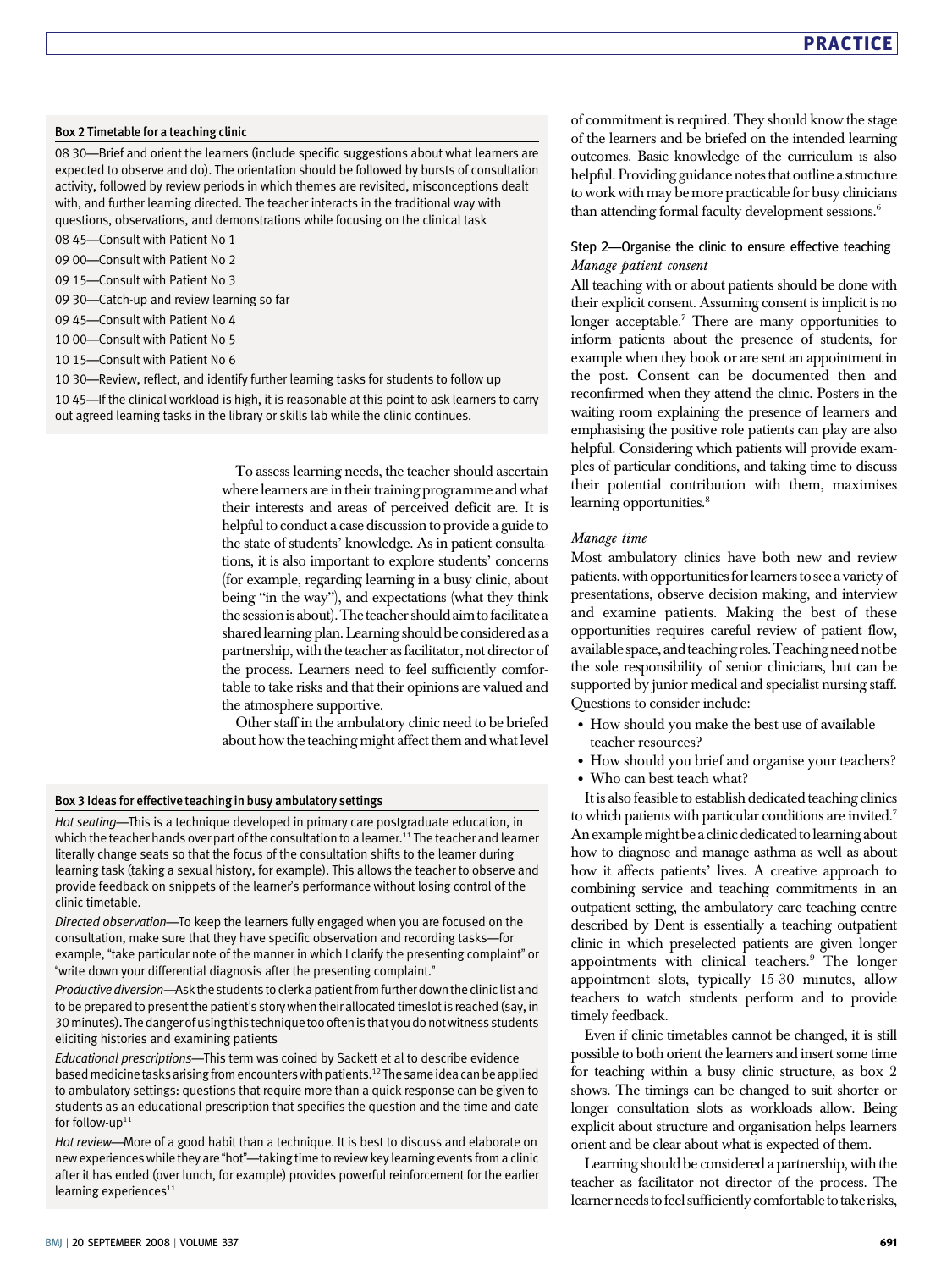#### Box 2 Timetable for a teaching clinic

08 30—Brief and orient the learners (include specific suggestions about what learners are expected to observe and do). The orientation should be followed by bursts of consultation activity, followed by review periods in which themes are revisited, misconceptions dealt with, and further learning directed. The teacher interacts in the traditional way with questions, observations, and demonstrations while focusing on the clinical task

08 45—Consult with Patient No 1

- 09 00—Consult with Patient No 2
- 09 15—Consult with Patient No 3
- 09 30—Catch-up and review learning so far
- 09 45—Consult with Patient No 4
- 10 00—Consult with Patient No 5
- 10 15—Consult with Patient No 6
- 10 30—Review, reflect, and identify further learning tasks for students to follow up

10 45—If the clinical workload is high, it is reasonable at this point to ask learners to carry out agreed learning tasks in the library or skills lab while the clinic continues.

> To assess learning needs, the teacher should ascertain where learners are intheir training programme and what their interests and areas of perceived deficit are. It is helpful to conduct a case discussion to provide a guide to the state of students' knowledge. As in patient consultations, it is also important to explore students' concerns (for example, regarding learning in a busy clinic, about being "in the way"), and expectations (what they think the session is about). The teacher should aim to facilitate a shared learning plan. Learning should be considered as a partnership, with the teacher as facilitator, not director of the process. Learners need to feel sufficiently comfortable to take risks and that their opinions are valued and the atmosphere supportive.

> Other staff in the ambulatory clinic need to be briefed about how the teaching might affect them and what level

#### Box 3 Ideas for effective teaching in busy ambulatory settings

Hot seating—This is a technique developed in primary care postgraduate education, in which the teacher hands over part of the consultation to a learner.<sup>11</sup> The teacher and learner literally change seats so that the focus of the consultation shifts to the learner during learning task (taking a sexual history, for example). This allows the teacher to observe and provide feedback on snippets of the learner's performance without losing control of the clinic timetable.

Directed observation—To keep the learners fully engaged when you are focused on the consultation, make sure that they have specific observation and recording tasks—for example, "take particular note of the manner in which I clarify the presenting complaint" or "write down your differential diagnosis after the presenting complaint."

Productive diversion—Ask the students to clerk a patient from further down the clinic list and to be prepared to present the patient's storywhen their allocated timeslot is reached (say, in 30minutes). The danger of using this technique too oftenis that you do notwitness students eliciting histories and examining patients

Educational prescriptions—This term was coined by Sackett et al to describe evidence basedmedicine tasks arisingfrom encounterswith patients.12 The sameidea can be applied to ambulatory settings: questions that require more than a quick response can be given to students as an educational prescription that specifies the question and the time and date for follow-up $11$ 

Hot review—More of a good habit than a technique. It is best to discuss and elaborate on new experiences while they are "hot"—taking time to review key learning eventsfrom a clinic after it has ended (over lunch, for example) provides powerful reinforcement for the earlier learning experiences $11$ 

of commitment is required. They should know the stage of the learners and be briefed on the intended learning outcomes. Basic knowledge of the curriculum is also helpful. Providing guidance notes that outline a structure to work with may be more practicable for busy clinicians than attending formal faculty development sessions.<sup>6</sup>

## Step 2—Organise the clinic to ensure effective teaching

Manage patient consent All teaching with or about patients should be done with their explicit consent. Assuming consent is implicit is no longer acceptable.<sup>7</sup> There are many opportunities to inform patients about the presence of students, for example when they book or are sent an appointment in the post. Consent can be documented then and reconfirmed when they attend the clinic. Posters in the waiting room explaining the presence of learners and emphasising the positive role patients can play are also helpful. Considering which patients will provide examples of particular conditions, and taking time to discuss their potential contribution with them, maximises learning opportunities.<sup>8</sup>

Most ambulatory clinics have both new and review patients, with opportunitiesforlearnersto see a variety of presentations, observe decision making, and interview and examine patients. Making the best of these opportunities requires careful review of patient flow, available space, andteaching roles.Teaching need not be the sole responsibility of senior clinicians, but can be supported by junior medical and specialist nursing staff. Questions to consider include:

- How should you make the best use of available teacher resources?
- How should you brief and organise your teachers?
- Who can best teach what?

It is also feasible to establish dedicated teaching clinics to which patients with particular conditions are invited.7 An example might be a clinic dedicated to learning about how to diagnose and manage asthma as well as about how it affects patients' lives. A creative approach to combining service and teaching commitments in an outpatient setting, the ambulatory care teaching centre described by Dent is essentially a teaching outpatient clinic in which preselected patients are given longer appointments with clinical teachers.<sup>9</sup> The longer appointment slots, typically 15-30 minutes, allow teachers to watch students perform and to provide timely feedback.

Even if clinic timetables cannot be changed, it is still possible to both orient the learners and insert some time for teaching within a busy clinic structure, as box 2 shows. The timings can be changed to suit shorter or longer consultation slots as workloads allow. Being explicit about structure and organisation helps learners orient and be clear about what is expected of them.

Learning should be considered a partnership, with the teacher as facilitator not director of the process. The learner needs to feel sufficiently comfortable to take risks,